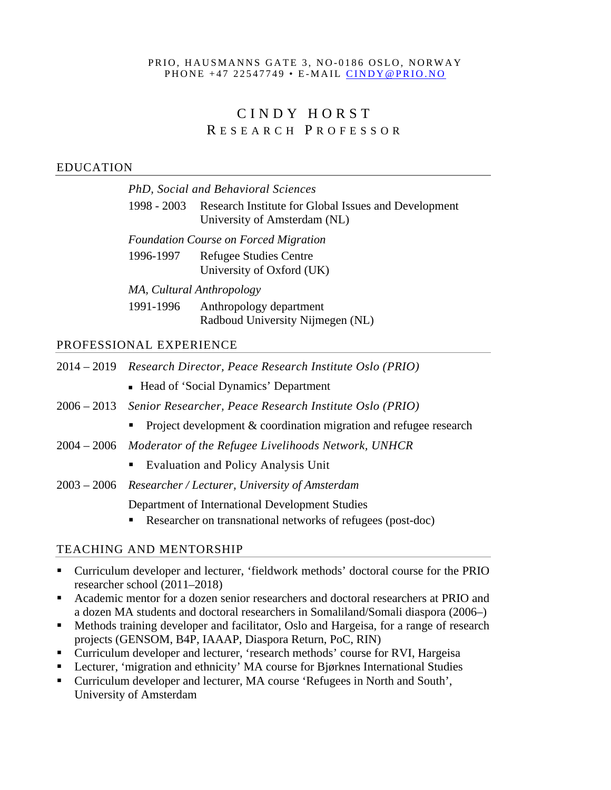#### PRIO, HAUSMANNS GATE 3, NO-0186 OSLO, NORWAY PHONE +47 22547749 • E-MAIL [CINDY@PRIO.NO](mailto:CINDY@PRIO.NO)

# CINDY HORS T R ESEARCH P ROFESSOR

#### EDUCATION

| ) N                                          |                                                                                                  |  |
|----------------------------------------------|--------------------------------------------------------------------------------------------------|--|
|                                              | PhD, Social and Behavioral Sciences                                                              |  |
|                                              | 1998 - 2003 Research Institute for Global Issues and Development<br>University of Amsterdam (NL) |  |
| <b>Foundation Course on Forced Migration</b> |                                                                                                  |  |
| 1996-1997                                    | <b>Refugee Studies Centre</b>                                                                    |  |
|                                              | University of Oxford (UK)                                                                        |  |
| MA, Cultural Anthropology                    |                                                                                                  |  |

1991-1996 Anthropology department Radboud University Nijmegen (NL)

#### PROFESSIONAL EXPERIENCE

|  |  |  | 2014 – 2019 Research Director, Peace Research Institute Oslo (PRIO) |
|--|--|--|---------------------------------------------------------------------|
|--|--|--|---------------------------------------------------------------------|

- Head of 'Social Dynamics' Department
- 2006 2013 *Senior Researcher, Peace Research Institute Oslo (PRIO)*
	- Project development  $&$  coordination migration and refugee research
- 2004 2006 *Moderator of the Refugee Livelihoods Network, UNHCR*
	- Evaluation and Policy Analysis Unit
- 2003 2006 *Researcher / Lecturer, University of Amsterdam*

Department of International Development Studies

Researcher on transnational networks of refugees (post-doc)

#### TEACHING AND MENTORSHIP

- Curriculum developer and lecturer, 'fieldwork methods' doctoral course for the PRIO researcher school (2011–2018)
- Academic mentor for a dozen senior researchers and doctoral researchers at PRIO and a dozen MA students and doctoral researchers in Somaliland/Somali diaspora (2006–)
- Methods training developer and facilitator, Oslo and Hargeisa, for a range of research projects (GENSOM, B4P, IAAAP, Diaspora Return, PoC, RIN)
- Curriculum developer and lecturer, 'research methods' course for RVI, Hargeisa
- Lecturer, 'migration and ethnicity' MA course for Bjørknes International Studies
- Curriculum developer and lecturer, MA course 'Refugees in North and South', University of Amsterdam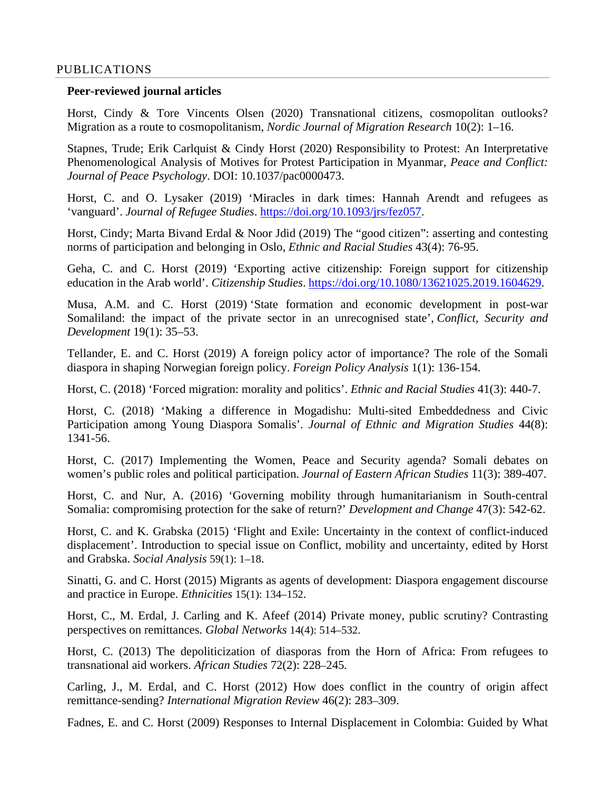#### PUBLICATIONS

#### **Peer-reviewed journal articles**

Horst, Cindy & Tore Vincents Olsen (2020) Transnational citizens, cosmopolitan outlooks? Migration as a route to cosmopolitanism, *Nordic Journal of Migration Research* 10(2): 1–16.

Stapnes, Trude; Erik Carlquist & Cindy Horst (2020) Responsibility to Protest: An Interpretative Phenomenological Analysis of Motives for Protest Participation in Myanmar, *Peace and Conflict: Journal of Peace Psychology*. DOI: 10.1037/pac0000473.

Horst, C. and O. Lysaker (2019) 'Miracles in dark times: Hannah Arendt and refugees as 'vanguard'. *Journal of Refugee Studies*. [https://doi.org/10.1093/jrs/fez057.](https://doi.org/10.1093/jrs/fez057)

Horst, Cindy; Marta Bivand Erdal & Noor Jdid (2019) [The "good citizen": asserting and contesting](https://www.prio.org/Publications/Publication/?x=12126)  [norms of participation and belonging in Oslo,](https://www.prio.org/Publications/Publication/?x=12126) *Ethnic and Racial Studies* 43(4): 76-95.

Geha, C. and C. Horst (2019) 'Exporting active citizenship: Foreign support for citizenship education in the Arab world'. *Citizenship Studies*. [https://doi.org/10.1080/13621025.2019.1604629.](https://doi.org/10.1080/13621025.2019.1604629)

Musa, A.M. and C. Horst (2019) ['State formation and economic development in post-war](https://www.prio.org/Publications/Publication/?x=11265)  [Somaliland: the impact of the private sector in an unrecognised state'](https://www.prio.org/Publications/Publication/?x=11265), *Conflict, Security and Development* 19(1): 35–53.

Tellander, E. and C. Horst (2019) A foreign policy actor of importance? The role of the Somali diaspora in shaping Norwegian foreign policy. *Foreign Policy Analysis* 1(1): 136-154.

Horst, C. (2018) 'Forced migration: morality and politics'. *Ethnic and Racial Studies* 41(3): 440-7.

Horst, C. (2018) 'Making a difference in Mogadishu: Multi-sited Embeddedness and Civic Participation among Young Diaspora Somalis'. *Journal of Ethnic and Migration Studies* 44(8): 1341-56.

Horst, C. (2017) Implementing the Women, Peace and Security agenda? Somali debates on women's public roles and political participation. *Journal of Eastern African Studies* 11(3): 389-407.

Horst, C. and Nur, A. (2016) 'Governing mobility through humanitarianism in South-central Somalia: compromising protection for the sake of return?' *Development and Change* 47(3): 542-62.

Horst, C. and K. Grabska (2015) 'Flight and Exile: Uncertainty in the context of conflict-induced displacement'. Introduction to special issue on Conflict, mobility and uncertainty, edited by Horst and Grabska. *Social Analysis* 59(1): 1–18.

Sinatti, G. and C. Horst (2015) Migrants as agents of development: Diaspora engagement discourse and practice in Europe. *Ethnicities* 15(1): 134–152.

Horst, C., M. Erdal, J. Carling and K. Afeef (2014) Private money, public scrutiny? Contrasting perspectives on remittances. *Global Networks* 14(4): 514–532.

Horst, C. (2013) The depoliticization of diasporas from the Horn of Africa: From refugees to transnational aid workers. *African Studies* 72(2): 228–245*.*

Carling, J., M. Erdal, and C. Horst (2012) How does conflict in the country of origin affect remittance-sending? *International Migration Review* 46(2): 283–309.

Fadnes, E. and C. Horst (2009) Responses to Internal Displacement in Colombia: Guided by What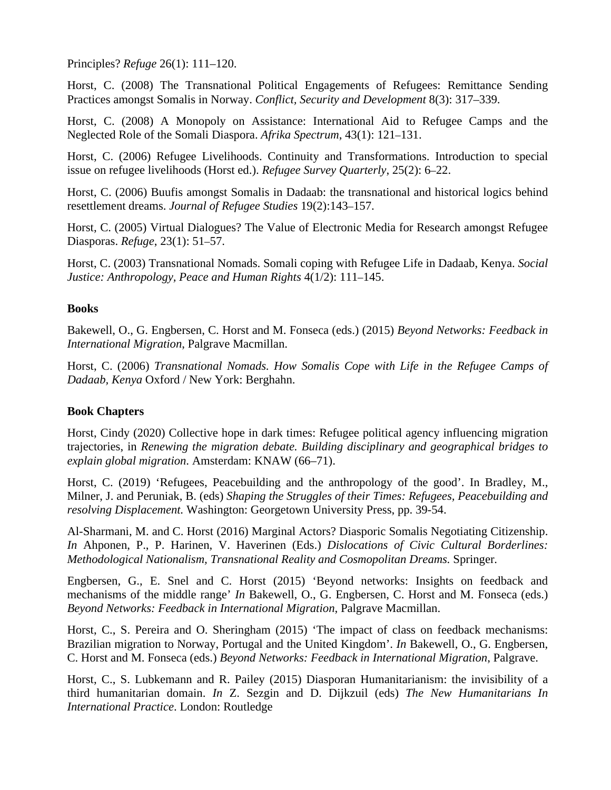Principles? *Refuge* 26(1): 111–120.

Horst, C. (2008) The Transnational Political Engagements of Refugees: Remittance Sending Practices amongst Somalis in Norway. *Conflict, Security and Development* 8(3): 317–339.

Horst, C. (2008) A Monopoly on Assistance: International Aid to Refugee Camps and the Neglected Role of the Somali Diaspora. *Afrika Spectrum*, 43(1): 121–131.

Horst, C. (2006) Refugee Livelihoods. Continuity and Transformations. Introduction to special issue on refugee livelihoods (Horst ed.). *Refugee Survey Quarterly*, 25(2): 6–22.

Horst, C. (2006) Buufis amongst Somalis in Dadaab: the transnational and historical logics behind resettlement dreams. *Journal of Refugee Studies* 19(2):143–157.

Horst, C. (2005) Virtual Dialogues? The Value of Electronic Media for Research amongst Refugee Diasporas. *Refuge*, 23(1): 51–57.

Horst, C. (2003) Transnational Nomads. Somali coping with Refugee Life in Dadaab, Kenya. *Social Justice: Anthropology, Peace and Human Rights* 4(1/2): 111–145.

#### **Books**

Bakewell, O., G. Engbersen, C. Horst and M. Fonseca (eds.) (2015) *Beyond Networks: Feedback in International Migration*, Palgrave Macmillan.

Horst, C. (2006) *Transnational Nomads. How Somalis Cope with Life in the Refugee Camps of Dadaab, Kenya* Oxford / New York: Berghahn.

### **Book Chapters**

Horst, Cindy (2020) Collective hope in dark times: Refugee political agency influencing migration trajectories, in *Renewing the migration debate. Building disciplinary and geographical bridges to explain global migration*. Amsterdam: KNAW (66–71).

Horst, C. (2019) 'Refugees, Peacebuilding and the anthropology of the good'. In Bradley, M., Milner, J. and Peruniak, B. (eds) *Shaping the Struggles of their Times: Refugees, Peacebuilding and resolving Displacement.* Washington: Georgetown University Press, pp. 39-54.

Al-Sharmani, M. and C. Horst (2016) Marginal Actors? Diasporic Somalis Negotiating Citizenship. *In* Ahponen, P., P. Harinen, V. Haverinen (Eds.) *Dislocations of Civic Cultural Borderlines: Methodological Nationalism, Transnational Reality and Cosmopolitan Dreams.* Springer*.*

Engbersen, G., E. Snel and C. Horst (2015) 'Beyond networks: Insights on feedback and mechanisms of the middle range' *In* Bakewell, O., G. Engbersen, C. Horst and M. Fonseca (eds.) *Beyond Networks: Feedback in International Migration*, Palgrave Macmillan.

Horst, C., S. Pereira and O. Sheringham (2015) 'The impact of class on feedback mechanisms: Brazilian migration to Norway, Portugal and the United Kingdom'. *In* Bakewell, O., G. Engbersen, C. Horst and M. Fonseca (eds.) *Beyond Networks: Feedback in International Migration*, Palgrave.

Horst, C., S. Lubkemann and R. Pailey (2015) Diasporan Humanitarianism: the invisibility of a third humanitarian domain. *In* Z. Sezgin and D. Dijkzuil (eds) *The New Humanitarians In International Practice*. London: Routledge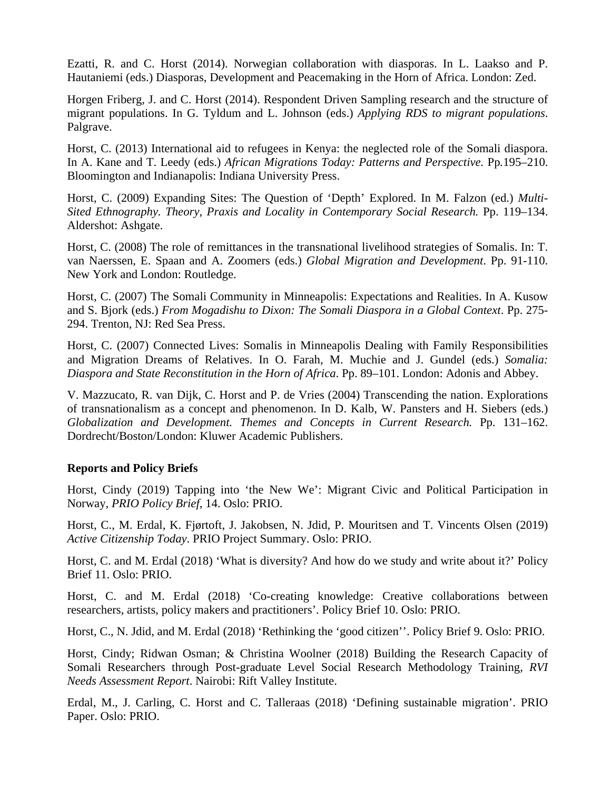Ezatti, R. and C. Horst (2014). Norwegian collaboration with diasporas. In L. Laakso and P. Hautaniemi (eds.) Diasporas, Development and Peacemaking in the Horn of Africa. London: Zed.

Horgen Friberg, J. and C. Horst (2014). Respondent Driven Sampling research and the structure of migrant populations. In G. Tyldum and L. Johnson (eds.) *Applying RDS to migrant populations*. Palgrave.

Horst, C. (2013) International aid to refugees in Kenya: the neglected role of the Somali diaspora. In A. Kane and T. Leedy (eds.) *African Migrations Today: Patterns and Perspective.* Pp*.*195–210. Bloomington and Indianapolis: Indiana University Press.

Horst, C. (2009) Expanding Sites: The Question of 'Depth' Explored. In M. Falzon (ed.) *Multi-Sited Ethnography. Theory, Praxis and Locality in Contemporary Social Research.* Pp. 119–134. Aldershot: Ashgate.

Horst, C. (2008) The role of remittances in the transnational livelihood strategies of Somalis. In: T. van Naerssen, E. Spaan and A. Zoomers (eds.) *Global Migration and Development*. Pp. 91-110. New York and London: Routledge.

Horst, C. (2007) The Somali Community in Minneapolis: Expectations and Realities. In A. Kusow and S. Bjork (eds.) *From Mogadishu to Dixon: The Somali Diaspora in a Global Context*. Pp. 275- 294. Trenton, NJ: Red Sea Press.

Horst, C. (2007) Connected Lives: Somalis in Minneapolis Dealing with Family Responsibilities and Migration Dreams of Relatives. In O. Farah, M. Muchie and J. Gundel (eds.) *Somalia: Diaspora and State Reconstitution in the Horn of Africa*. Pp. 89–101. London: Adonis and Abbey.

V. Mazzucato, R. van Dijk, C. Horst and P. de Vries (2004) Transcending the nation. Explorations of transnationalism as a concept and phenomenon. In D. Kalb, W. Pansters and H. Siebers (eds.) *Globalization and Development. Themes and Concepts in Current Research.* Pp. 131–162. Dordrecht/Boston/London: Kluwer Academic Publishers.

#### **Reports and Policy Briefs**

Horst, Cindy (2019) [Tapping into 'the New We': Migrant Civic and Political Participation in](https://www.prio.org/Publications/Publication/?x=12131)  [Norway,](https://www.prio.org/Publications/Publication/?x=12131) *PRIO Policy Brief*, 14. Oslo: PRIO.

Horst, C., M. Erdal, K. Fjørtoft, J. Jakobsen, N. Jdid, P. Mouritsen and T. Vincents Olsen (2019) *Active Citizenship Today*. PRIO Project Summary. Oslo: PRIO.

Horst, C. and M. Erdal (2018) 'What is diversity? And how do we study and write about it?' Policy Brief 11. Oslo: PRIO.

Horst, C. and M. Erdal (2018) 'Co-creating knowledge: Creative collaborations between researchers, artists, policy makers and practitioners'. Policy Brief 10. Oslo: PRIO.

Horst, C., N. Jdid, and M. Erdal (2018) 'Rethinking the 'good citizen''. Policy Brief 9. Oslo: PRIO.

Horst, Cindy; Ridwan Osman; & Christina Woolner (2018) [Building the Research Capacity of](https://www.prio.org/Publications/Publication/?x=11052)  [Somali Researchers through Post-graduate Level Social Research Methodology Training,](https://www.prio.org/Publications/Publication/?x=11052) *RVI Needs Assessment Report*. Nairobi: Rift Valley Institute.

Erdal, M., J. Carling, C. Horst and C. Talleraas (2018) 'Defining sustainable migration'. PRIO Paper. Oslo: PRIO.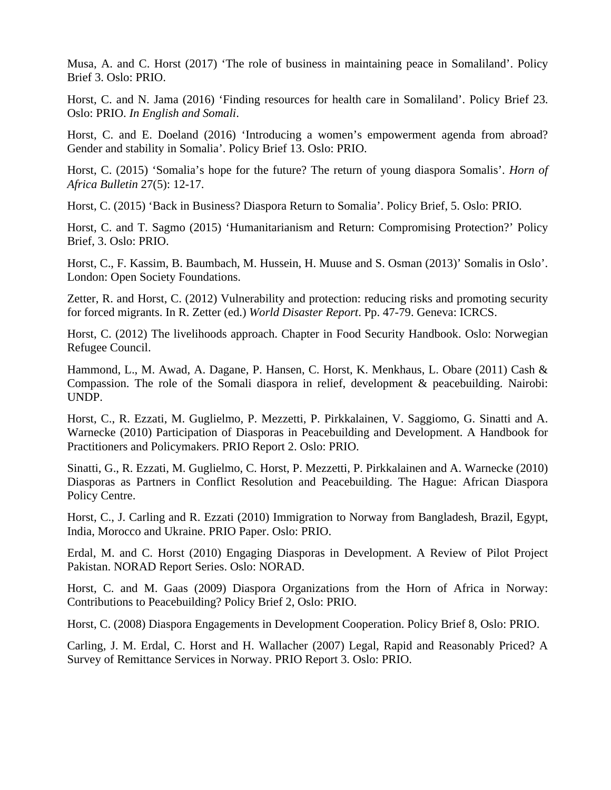Musa, A. and C. Horst (2017) 'The role of business in maintaining peace in Somaliland'. Policy Brief 3. Oslo: PRIO.

Horst, C. and N. Jama (2016) 'Finding resources for health care in Somaliland'. Policy Brief 23. Oslo: PRIO. *In English and Somali*.

Horst, C. and E. Doeland (2016) 'Introducing a women's empowerment agenda from abroad? Gender and stability in Somalia'. Policy Brief 13. Oslo: PRIO.

Horst, C. (2015) 'Somalia's hope for the future? The return of young diaspora Somalis'. *Horn of Africa Bulletin* 27(5): 12-17.

Horst, C. (2015) 'Back in Business? Diaspora Return to Somalia'. Policy Brief, 5. Oslo: PRIO.

Horst, C. and T. Sagmo (2015) 'Humanitarianism and Return: Compromising Protection?' Policy Brief, 3. Oslo: PRIO.

Horst, C., F. Kassim, B. Baumbach, M. Hussein, H. Muuse and S. Osman (2013)' Somalis in Oslo'. London: Open Society Foundations.

Zetter, R. and Horst, C. (2012) Vulnerability and protection: reducing risks and promoting security for forced migrants. In R. Zetter (ed.) *World Disaster Report*. Pp. 47-79. Geneva: ICRCS.

Horst, C. (2012) The livelihoods approach. Chapter in Food Security Handbook. Oslo: Norwegian Refugee Council.

Hammond, L., M. Awad, A. Dagane, P. Hansen, C. Horst, K. Menkhaus, L. Obare (2011) Cash & Compassion. The role of the Somali diaspora in relief, development & peacebuilding. Nairobi: UNDP.

Horst, C., R. Ezzati, M. Guglielmo, P. Mezzetti, P. Pirkkalainen, V. Saggiomo, G. Sinatti and A. Warnecke (2010) Participation of Diasporas in Peacebuilding and Development. A Handbook for Practitioners and Policymakers. PRIO Report 2. Oslo: PRIO.

Sinatti, G., R. Ezzati, M. Guglielmo, C. Horst, P. Mezzetti, P. Pirkkalainen and A. Warnecke (2010) Diasporas as Partners in Conflict Resolution and Peacebuilding. The Hague: African Diaspora Policy Centre.

Horst, C., J. Carling and R. Ezzati (2010) Immigration to Norway from Bangladesh, Brazil, Egypt, India, Morocco and Ukraine. PRIO Paper. Oslo: PRIO.

Erdal, M. and C. Horst (2010) Engaging Diasporas in Development. A Review of Pilot Project Pakistan. NORAD Report Series. Oslo: NORAD.

Horst, C. and M. Gaas (2009) Diaspora Organizations from the Horn of Africa in Norway: Contributions to Peacebuilding? Policy Brief 2, Oslo: PRIO.

Horst, C. (2008) Diaspora Engagements in Development Cooperation. Policy Brief 8, Oslo: PRIO.

Carling, J. M. Erdal, C. Horst and H. Wallacher (2007) Legal, Rapid and Reasonably Priced? A Survey of Remittance Services in Norway. PRIO Report 3. Oslo: PRIO.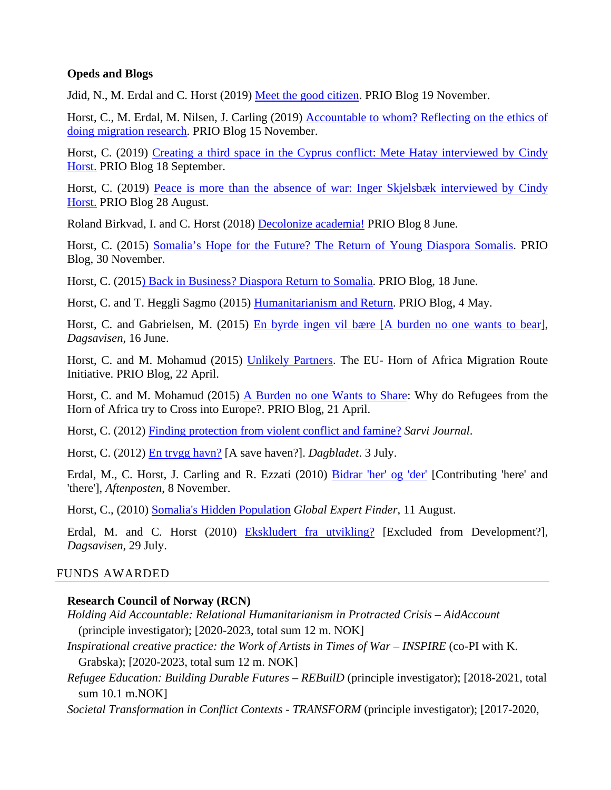#### **Opeds and Blogs**

Jdid, N., M. Erdal and C. Horst (2019) [Meet the good citizen.](https://blogs.prio.org/2019/11/meet-the-good-citizen/) PRIO Blog 19 November.

Horst, C., M. Erdal, M. Nilsen, J. Carling (2019) [Accountable to whom? Reflecting on the](https://blogs.prio.org/2019/11/accountable-to-whom-reflecting-on-the-ethics-of-doing-migration-research/) ethics of [doing migration](https://blogs.prio.org/2019/11/accountable-to-whom-reflecting-on-the-ethics-of-doing-migration-research/) research. PRIO Blog 15 November.

Horst, C. (2019) Creating a third space in the Cyprus conflict: Mete Hatay interviewed by Cindy [Horst.](https://blogs.prio.org/2019/09/creating-a-third-space-in-the-cyprus-conflict-mete-hatay-interviewed-by-cindy-horst/) PRIO Blog 18 September.

Horst, C. (2019) Peace is [more than the absence of war: Inger Skjelsbæk interviewed by Cindy](https://blogs.prio.org/2019/08/peace-is-more-than-the-absence-of-war-inger-skjelsbaek-interviewed-by-cindy-horst/)  [Horst.](https://blogs.prio.org/2019/08/peace-is-more-than-the-absence-of-war-inger-skjelsbaek-interviewed-by-cindy-horst/) PRIO Blog 28 August.

Roland Birkvad, I. and C. Horst (2018) [Decolonize academia!](https://blogs.prio.org/2018/06/decolonize-academia/) PRIO Blog 8 June.

Horst, C. (2015) [Somalia's Hope for the Future? The Return of Young Diaspora Somalis.](http://blogs.prio.org/2015/11/somalias-hope-for-the-future-the-return-of-young-diaspora-somalis/) PRIO Blog, 30 November.

Horst, C. (201[5\) Back in Business? Diaspora Return to Somalia.](http://blogs.prio.org/2015/06/back-in-business-diaspora-return-to-somalia/) PRIO Blog, 18 June.

Horst, C. and T. Heggli Sagmo (2015) [Humanitarianism and Return.](http://blogs.prio.org/2015/05/humanitarianism-and-return/) PRIO Blog, 4 May.

Horst, C. and Gabrielsen, M. (2015) [En byrde ingen vil bære \[A burden no one wants to bear\],](https://www.prio.org/Publications/Publication/?x=8711) *Dagsavisen,* 16 June.

Horst, C. and M. Mohamud (2015) [Unlikely Partners.](http://blogs.prio.org/2015/04/unlikely-partners-eu-migration-and-states-at-the-horn-of-africa/) The EU- Horn of Africa Migration Route Initiative. PRIO Blog, 22 April.

Horst, C. and M. Mohamud (2015) [A Burden no one Wants to Share:](http://blogs.prio.org/2015/04/a-burden-no-one-wants-to-share-why-do-refugees-from-the-horn-of-africa-try-to-cross-into-europe/) Why do Refugees from the Horn of Africa try to Cross into Europe?. PRIO Blog, 21 April.

Horst, C. (2012) [Finding protection from violent conflict and famine?](http://afrikansarvi.fi/issue3/32-artikkeli/88-finding-protection-from-violent-conflict-and-famine) *Sarvi Journal*.

Horst, C. (2012) [En trygg havn?](http://www.dagbladet.no/2012/07/03/kultur/debatt/flyktninger/dadaab/kidnapping/22398991/) [A save haven?]. *Dagbladet*. 3 July.

Erdal, M., C. Horst, J. Carling and R. Ezzati (2010) [Bidrar 'her' og 'der'](http://www.prio.no/Research-and-Publications/Publication/?oid=61592872) [Contributing 'here' and 'there'], *Aftenposten*, 8 November.

Horst, C., (2010) [Somalia's Hidden Population](http://www.prio.no/Research-and-Publications/Publication/?oid=59632983) *Global Expert Finder*, 11 August.

Erdal, M. and C. Horst (2010) [Ekskludert fra utvikling?](http://www.prio.no/Research-and-Publications/Publication/?oid=59393157) [Excluded from Development?], *Dagsavisen*, 29 July.

### FUNDS AWARDED

### **Research Council of Norway (RCN)**

- *Holding Aid Accountable: Relational Humanitarianism in Protracted Crisis – AidAccount*  (principle investigator); [2020-2023, total sum 12 m. NOK]
- *Inspirational creative practice: the Work of Artists in Times of War – INSPIRE* (co-PI with K. Grabska); [2020-2023, total sum 12 m. NOK]
- *Refugee Education: Building Durable Futures – REBuilD* (principle investigator); [2018-2021, total sum 10.1 m.NOK]
- *Societal Transformation in Conflict Contexts - TRANSFORM* (principle investigator); [2017-2020,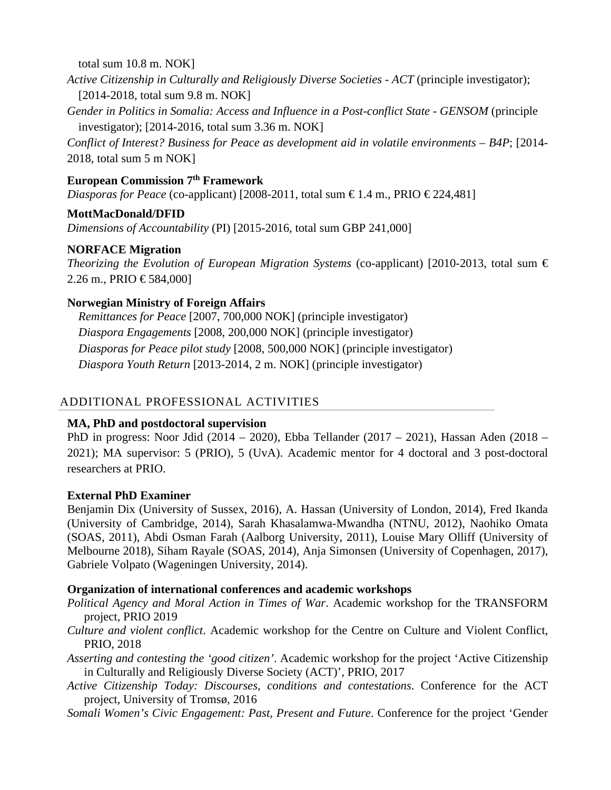total sum 10.8 m. NOK]

*Active Citizenship in Culturally and Religiously Diverse Societies - ACT* (principle investigator); [2014-2018, total sum 9.8 m. NOK]

*Gender in Politics in Somalia: Access and Influence in a Post-conflict State - GENSOM* (principle investigator); [2014-2016, total sum 3.36 m. NOK]

*Conflict of Interest? Business for Peace as development aid in volatile environments – B4P*; [2014- 2018, total sum 5 m NOK]

### **European Commission 7th Framework**

*Diasporas for Peace* (co-applicant) [2008-2011, total sum €1.4 m., PRIO €224,481]

### **MottMacDonald/DFID**

*Dimensions of Accountability* (PI) [2015-2016, total sum GBP 241,000]

### **NORFACE Migration**

*Theorizing the Evolution of European Migration Systems* (co-applicant) [2010-2013, total sum  $\epsilon$ 2.26 m., PRIO €584,000]

### **Norwegian Ministry of Foreign Affairs**

*Remittances for Peace* [2007, 700,000 NOK] (principle investigator) *Diaspora Engagements* [2008, 200,000 NOK] (principle investigator) *Diasporas for Peace pilot study* [2008, 500,000 NOK] (principle investigator) *Diaspora Youth Return* [2013-2014, 2 m. NOK] (principle investigator)

## ADDITIONAL PROFESSIONAL ACTIVITIES

### **MA, PhD and postdoctoral supervision**

PhD in progress: Noor Jdid (2014 – 2020), Ebba Tellander (2017 – 2021), Hassan Aden (2018 – 2021); MA supervisor: 5 (PRIO), 5 (UvA). Academic mentor for 4 doctoral and 3 post-doctoral researchers at PRIO.

### **External PhD Examiner**

Benjamin Dix (University of Sussex, 2016), A. Hassan (University of London, 2014), Fred Ikanda (University of Cambridge, 2014), Sarah Khasalamwa-Mwandha (NTNU, 2012), Naohiko Omata (SOAS, 2011), Abdi Osman Farah (Aalborg University, 2011), Louise Mary Olliff (University of Melbourne 2018), Siham Rayale (SOAS, 2014), Anja Simonsen (University of Copenhagen, 2017), Gabriele Volpato (Wageningen University, 2014).

### **Organization of international conferences and academic workshops**

*Political Agency and Moral Action in Times of War*. Academic workshop for the TRANSFORM project, PRIO 2019

*Culture and violent conflict*. Academic workshop for the Centre on Culture and Violent Conflict, PRIO, 2018

*Asserting and contesting the 'good citizen'*. Academic workshop for the project 'Active Citizenship in Culturally and Religiously Diverse Society (ACT)', PRIO, 2017

*Active Citizenship Today: Discourses, conditions and contestations*. Conference for the ACT project, University of Tromsø, 2016

*Somali Women's Civic Engagement: Past, Present and Future*. Conference for the project 'Gender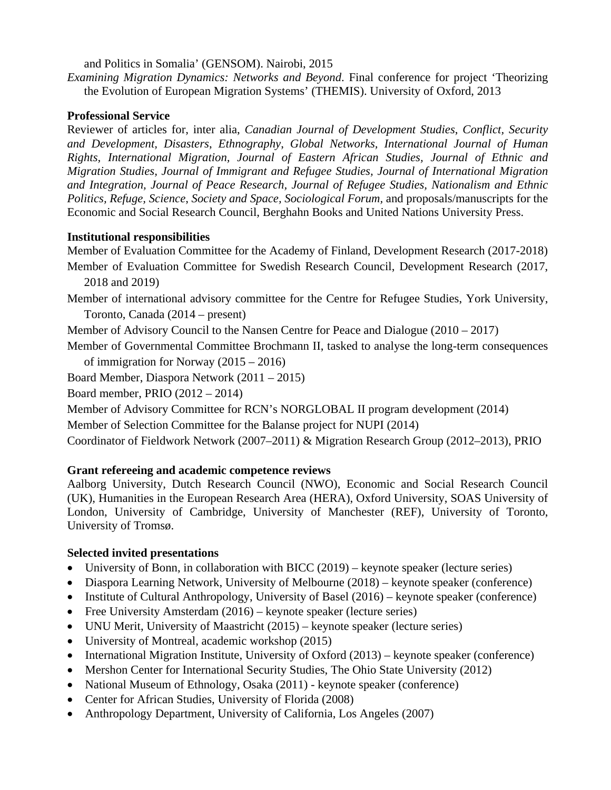and Politics in Somalia' (GENSOM). Nairobi, 2015

*Examining Migration Dynamics: Networks and Beyond*. Final conference for project 'Theorizing the Evolution of European Migration Systems' (THEMIS). University of Oxford, 2013

### **Professional Service**

Reviewer of articles for, inter alia, *Canadian Journal of Development Studies*, *Conflict, Security and Development, Disasters*, *Ethnography*, *Global Networks, International Journal of Human Rights, International Migration, Journal of Eastern African Studies, Journal of Ethnic and Migration Studies, Journal of Immigrant and Refugee Studies, Journal of International Migration and Integration, Journal of Peace Research, Journal of Refugee Studies, Nationalism and Ethnic Politics, Refuge, Science*, *Society and Space, Sociological Forum,* and proposals/manuscripts for the Economic and Social Research Council, Berghahn Books and United Nations University Press.

### **Institutional responsibilities**

Member of Evaluation Committee for the Academy of Finland, Development Research (2017-2018)

- Member of Evaluation Committee for Swedish Research Council, Development Research (2017, 2018 and 2019)
- Member of international advisory committee for the Centre for Refugee Studies, York University, Toronto, Canada (2014 – present)

Member of Advisory Council to the Nansen Centre for Peace and Dialogue (2010 – 2017)

Member of Governmental Committee Brochmann II, tasked to analyse the long-term consequences of immigration for Norway (2015 – 2016)

Board Member, Diaspora Network (2011 – 2015)

Board member, PRIO (2012 – 2014)

Member of Advisory Committee for RCN's NORGLOBAL II program development (2014)

Member of Selection Committee for the Balanse project for NUPI (2014)

Coordinator of Fieldwork Network (2007–2011) & Migration Research Group (2012–2013), PRIO

## **Grant refereeing and academic competence reviews**

Aalborg University, Dutch Research Council (NWO), Economic and Social Research Council (UK), Humanities in the European Research Area (HERA), Oxford University, SOAS University of London, University of Cambridge, University of Manchester (REF), University of Toronto, University of Tromsø.

## **Selected invited presentations**

- University of Bonn, in collaboration with BICC (2019) keynote speaker (lecture series)
- Diaspora Learning Network, University of Melbourne (2018) keynote speaker (conference)
- Institute of Cultural Anthropology, University of Basel (2016) keynote speaker (conference)
- Free University Amsterdam (2016) keynote speaker (lecture series)
- UNU Merit, University of Maastricht (2015) keynote speaker (lecture series)
- University of Montreal, academic workshop (2015)
- International Migration Institute, University of Oxford (2013) keynote speaker (conference)
- Mershon Center for International Security Studies, The Ohio State University (2012)
- National Museum of Ethnology, Osaka (2011) keynote speaker (conference)
- Center for African Studies, University of Florida (2008)
- Anthropology Department, University of California, Los Angeles (2007)